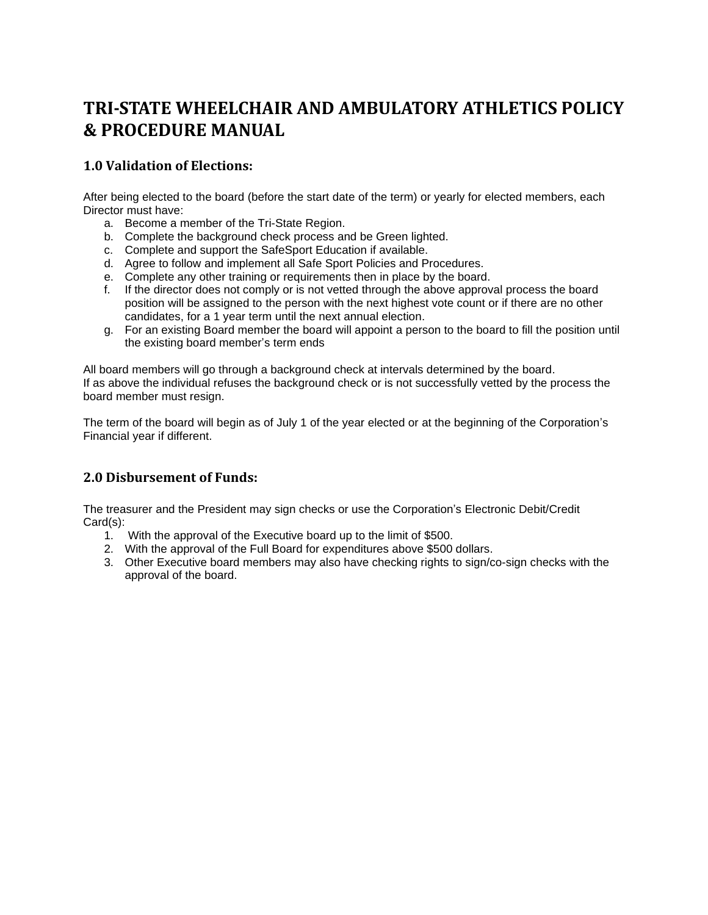## **TRI-STATE WHEELCHAIR AND AMBULATORY ATHLETICS POLICY & PROCEDURE MANUAL**

## **1.0 Validation of Elections:**

After being elected to the board (before the start date of the term) or yearly for elected members, each Director must have:

- a. Become a member of the Tri-State Region.
- b. Complete the background check process and be Green lighted.
- c. Complete and support the SafeSport Education if available.
- d. Agree to follow and implement all Safe Sport Policies and Procedures.
- e. Complete any other training or requirements then in place by the board.
- f. If the director does not comply or is not vetted through the above approval process the board position will be assigned to the person with the next highest vote count or if there are no other candidates, for a 1 year term until the next annual election.
- g. For an existing Board member the board will appoint a person to the board to fill the position until the existing board member's term ends

All board members will go through a background check at intervals determined by the board. If as above the individual refuses the background check or is not successfully vetted by the process the board member must resign.

The term of the board will begin as of July 1 of the year elected or at the beginning of the Corporation's Financial year if different.

## **2.0 Disbursement of Funds:**

The treasurer and the President may sign checks or use the Corporation's Electronic Debit/Credit Card(s):

- 1. With the approval of the Executive board up to the limit of \$500.
- 2. With the approval of the Full Board for expenditures above \$500 dollars.
- 3. Other Executive board members may also have checking rights to sign/co-sign checks with the approval of the board.